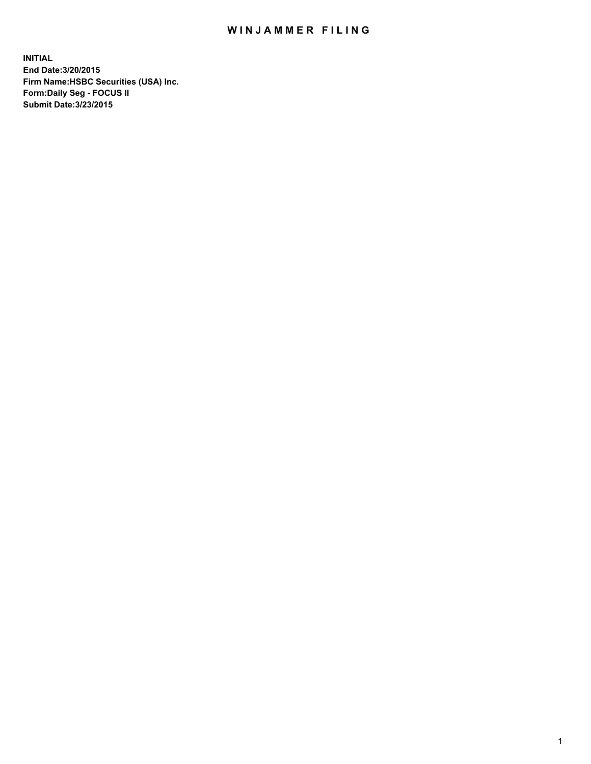## WIN JAMMER FILING

**INITIAL End Date:3/20/2015 Firm Name:HSBC Securities (USA) Inc. Form:Daily Seg - FOCUS II Submit Date:3/23/2015**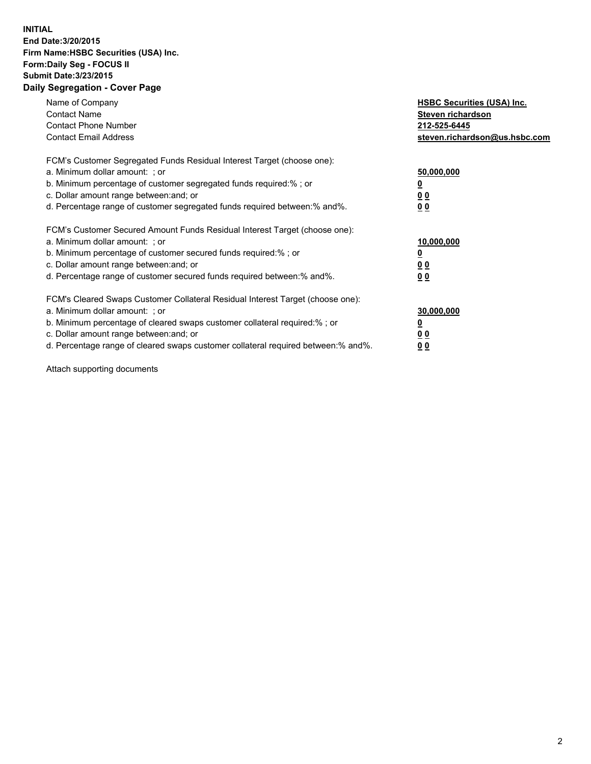## **INITIAL End Date:3/20/2015 Firm Name:HSBC Securities (USA) Inc. Form:Daily Seg - FOCUS II Submit Date:3/23/2015 Daily Segregation - Cover Page**

| Name of Company<br><b>Contact Name</b><br><b>Contact Phone Number</b><br><b>Contact Email Address</b>                                                                                                                                                                                                                         | <b>HSBC Securities (USA) Inc.</b><br>Steven richardson<br>212-525-6445<br>steven.richardson@us.hsbc.com |
|-------------------------------------------------------------------------------------------------------------------------------------------------------------------------------------------------------------------------------------------------------------------------------------------------------------------------------|---------------------------------------------------------------------------------------------------------|
| FCM's Customer Segregated Funds Residual Interest Target (choose one):<br>a. Minimum dollar amount: ; or<br>b. Minimum percentage of customer segregated funds required:%; or<br>c. Dollar amount range between: and; or<br>d. Percentage range of customer segregated funds required between:% and%.                         | 50,000,000<br>00<br>0 <sub>0</sub>                                                                      |
| FCM's Customer Secured Amount Funds Residual Interest Target (choose one):<br>a. Minimum dollar amount: ; or<br>b. Minimum percentage of customer secured funds required:%; or<br>c. Dollar amount range between: and; or<br>d. Percentage range of customer secured funds required between:% and%.                           | 10,000,000<br>0 <sub>0</sub><br>00                                                                      |
| FCM's Cleared Swaps Customer Collateral Residual Interest Target (choose one):<br>a. Minimum dollar amount: ; or<br>b. Minimum percentage of cleared swaps customer collateral required:%; or<br>c. Dollar amount range between: and; or<br>d. Percentage range of cleared swaps customer collateral required between:% and%. | 30,000,000<br><u>00</u><br><u>00</u>                                                                    |

Attach supporting documents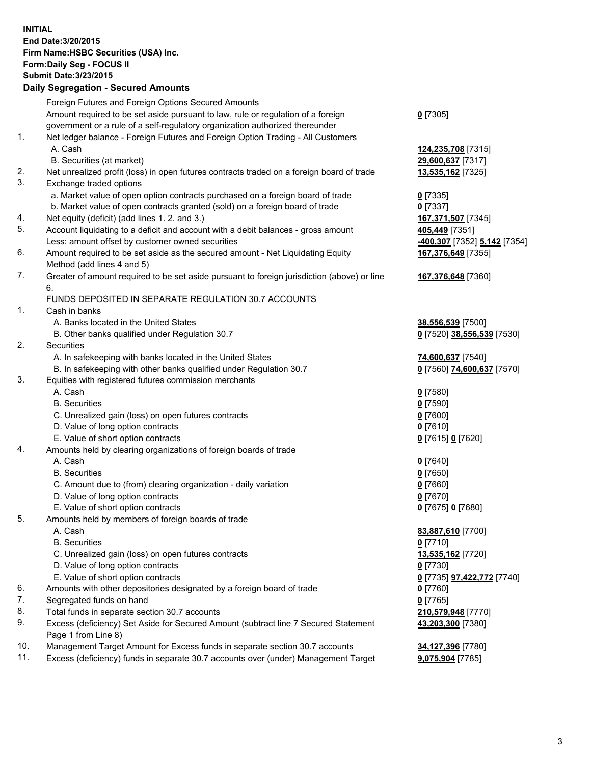**INITIAL End Date:3/20/2015 Firm Name:HSBC Securities (USA) Inc. Form:Daily Seg - FOCUS II Submit Date:3/23/2015 Daily Segregation - Secured Amounts**

Foreign Futures and Foreign Options Secured Amounts Amount required to be set aside pursuant to law, rule or regulation of a foreign government or a rule of a self-regulatory organization authorized thereunder **0** [7305] 1. Net ledger balance - Foreign Futures and Foreign Option Trading - All Customers A. Cash **124,235,708** [7315] B. Securities (at market) **29,600,637** [7317] 2. Net unrealized profit (loss) in open futures contracts traded on a foreign board of trade **13,535,162** [7325] 3. Exchange traded options a. Market value of open option contracts purchased on a foreign board of trade **0** [7335] b. Market value of open contracts granted (sold) on a foreign board of trade **0** [7337] 4. Net equity (deficit) (add lines 1. 2. and 3.) **167,371,507** [7345] 5. Account liquidating to a deficit and account with a debit balances - gross amount **405,449** [7351] Less: amount offset by customer owned securities **-400,307** [7352] **5,142** [7354] 6. Amount required to be set aside as the secured amount - Net Liquidating Equity Method (add lines 4 and 5) **167,376,649** [7355] 7. Greater of amount required to be set aside pursuant to foreign jurisdiction (above) or line 6. **167,376,648** [7360] FUNDS DEPOSITED IN SEPARATE REGULATION 30.7 ACCOUNTS 1. Cash in banks A. Banks located in the United States **38,556,539** [7500] B. Other banks qualified under Regulation 30.7 **0** [7520] **38,556,539** [7530] 2. Securities A. In safekeeping with banks located in the United States **74,600,637** [7540] B. In safekeeping with other banks qualified under Regulation 30.7 **0** [7560] **74,600,637** [7570] 3. Equities with registered futures commission merchants A. Cash **0** [7580] B. Securities **0** [7590] C. Unrealized gain (loss) on open futures contracts **0** [7600] D. Value of long option contracts **0** [7610] E. Value of short option contracts **0** [7615] **0** [7620] 4. Amounts held by clearing organizations of foreign boards of trade A. Cash **0** [7640] B. Securities **0** [7650] C. Amount due to (from) clearing organization - daily variation **0** [7660] D. Value of long option contracts **0** [7670] E. Value of short option contracts **0** [7675] **0** [7680] 5. Amounts held by members of foreign boards of trade A. Cash **83,887,610** [7700] B. Securities **0** [7710] C. Unrealized gain (loss) on open futures contracts **13,535,162** [7720] D. Value of long option contracts **0** [7730] E. Value of short option contracts **0** [7735] **97,422,772** [7740] 6. Amounts with other depositories designated by a foreign board of trade **0** [7760] 7. Segregated funds on hand **0** [7765] 8. Total funds in separate section 30.7 accounts **210,579,948** [7770] 9. Excess (deficiency) Set Aside for Secured Amount (subtract line 7 Secured Statement Page 1 from Line 8) **43,203,300** [7380] 10. Management Target Amount for Excess funds in separate section 30.7 accounts **34,127,396** [7780] 11. Excess (deficiency) funds in separate 30.7 accounts over (under) Management Target **9,075,904** [7785]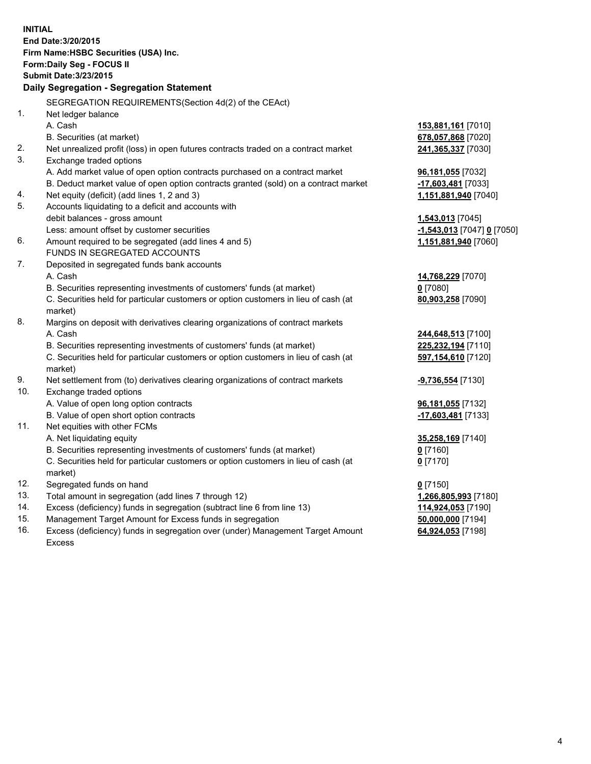| Daily Segregation - Segregation Statement<br>SEGREGATION REQUIREMENTS(Section 4d(2) of the CEAct)<br>1.<br>Net ledger balance<br>A. Cash<br>153,881,161 [7010]<br>678,057,868 [7020]<br>B. Securities (at market)<br>2.<br>Net unrealized profit (loss) in open futures contracts traded on a contract market<br>241,365,337 [7030]<br>3.<br>Exchange traded options<br>A. Add market value of open option contracts purchased on a contract market<br>96,181,055 [7032]<br>B. Deduct market value of open option contracts granted (sold) on a contract market<br>-17,603,481 [7033]<br>Net equity (deficit) (add lines 1, 2 and 3)<br>4.<br>1,151,881,940 [7040]<br>5.<br>Accounts liquidating to a deficit and accounts with<br>debit balances - gross amount<br>1,543,013 [7045]<br>Less: amount offset by customer securities<br>$-1,543,013$ [7047] 0 [7050]<br>6.<br>Amount required to be segregated (add lines 4 and 5)<br>1,151,881,940 [7060]<br>FUNDS IN SEGREGATED ACCOUNTS<br>7.<br>Deposited in segregated funds bank accounts<br>A. Cash<br>14,768,229 [7070]<br>B. Securities representing investments of customers' funds (at market)<br>$0$ [7080]<br>C. Securities held for particular customers or option customers in lieu of cash (at<br>80,903,258 [7090]<br>market)<br>8.<br>Margins on deposit with derivatives clearing organizations of contract markets<br>A. Cash<br>244,648,513 [7100]<br>B. Securities representing investments of customers' funds (at market)<br>225,232,194 [7110]<br>C. Securities held for particular customers or option customers in lieu of cash (at<br>597,154,610 [7120]<br>market)<br>Net settlement from (to) derivatives clearing organizations of contract markets<br>-9,736,554 [7130]<br>10.<br>Exchange traded options<br>A. Value of open long option contracts<br>96,181,055 [7132]<br>B. Value of open short option contracts<br>-17,603,481 [7133]<br>11.<br>Net equities with other FCMs<br>A. Net liquidating equity<br>35,258,169 [7140]<br>B. Securities representing investments of customers' funds (at market)<br><u>0</u> [7160]<br>C. Securities held for particular customers or option customers in lieu of cash (at<br>$0$ [7170] | <b>INITIAL</b> | End Date: 3/20/2015<br>Firm Name: HSBC Securities (USA) Inc.<br>Form: Daily Seg - FOCUS II<br><b>Submit Date: 3/23/2015</b> |  |
|--------------------------------------------------------------------------------------------------------------------------------------------------------------------------------------------------------------------------------------------------------------------------------------------------------------------------------------------------------------------------------------------------------------------------------------------------------------------------------------------------------------------------------------------------------------------------------------------------------------------------------------------------------------------------------------------------------------------------------------------------------------------------------------------------------------------------------------------------------------------------------------------------------------------------------------------------------------------------------------------------------------------------------------------------------------------------------------------------------------------------------------------------------------------------------------------------------------------------------------------------------------------------------------------------------------------------------------------------------------------------------------------------------------------------------------------------------------------------------------------------------------------------------------------------------------------------------------------------------------------------------------------------------------------------------------------------------------------------------------------------------------------------------------------------------------------------------------------------------------------------------------------------------------------------------------------------------------------------------------------------------------------------------------------------------------------------------------------------------------------------------------------------------------------------------------------------------------------|----------------|-----------------------------------------------------------------------------------------------------------------------------|--|
|                                                                                                                                                                                                                                                                                                                                                                                                                                                                                                                                                                                                                                                                                                                                                                                                                                                                                                                                                                                                                                                                                                                                                                                                                                                                                                                                                                                                                                                                                                                                                                                                                                                                                                                                                                                                                                                                                                                                                                                                                                                                                                                                                                                                                    |                |                                                                                                                             |  |
|                                                                                                                                                                                                                                                                                                                                                                                                                                                                                                                                                                                                                                                                                                                                                                                                                                                                                                                                                                                                                                                                                                                                                                                                                                                                                                                                                                                                                                                                                                                                                                                                                                                                                                                                                                                                                                                                                                                                                                                                                                                                                                                                                                                                                    |                |                                                                                                                             |  |
|                                                                                                                                                                                                                                                                                                                                                                                                                                                                                                                                                                                                                                                                                                                                                                                                                                                                                                                                                                                                                                                                                                                                                                                                                                                                                                                                                                                                                                                                                                                                                                                                                                                                                                                                                                                                                                                                                                                                                                                                                                                                                                                                                                                                                    |                |                                                                                                                             |  |
|                                                                                                                                                                                                                                                                                                                                                                                                                                                                                                                                                                                                                                                                                                                                                                                                                                                                                                                                                                                                                                                                                                                                                                                                                                                                                                                                                                                                                                                                                                                                                                                                                                                                                                                                                                                                                                                                                                                                                                                                                                                                                                                                                                                                                    |                |                                                                                                                             |  |
|                                                                                                                                                                                                                                                                                                                                                                                                                                                                                                                                                                                                                                                                                                                                                                                                                                                                                                                                                                                                                                                                                                                                                                                                                                                                                                                                                                                                                                                                                                                                                                                                                                                                                                                                                                                                                                                                                                                                                                                                                                                                                                                                                                                                                    |                |                                                                                                                             |  |
|                                                                                                                                                                                                                                                                                                                                                                                                                                                                                                                                                                                                                                                                                                                                                                                                                                                                                                                                                                                                                                                                                                                                                                                                                                                                                                                                                                                                                                                                                                                                                                                                                                                                                                                                                                                                                                                                                                                                                                                                                                                                                                                                                                                                                    |                |                                                                                                                             |  |
|                                                                                                                                                                                                                                                                                                                                                                                                                                                                                                                                                                                                                                                                                                                                                                                                                                                                                                                                                                                                                                                                                                                                                                                                                                                                                                                                                                                                                                                                                                                                                                                                                                                                                                                                                                                                                                                                                                                                                                                                                                                                                                                                                                                                                    |                |                                                                                                                             |  |
|                                                                                                                                                                                                                                                                                                                                                                                                                                                                                                                                                                                                                                                                                                                                                                                                                                                                                                                                                                                                                                                                                                                                                                                                                                                                                                                                                                                                                                                                                                                                                                                                                                                                                                                                                                                                                                                                                                                                                                                                                                                                                                                                                                                                                    |                |                                                                                                                             |  |
|                                                                                                                                                                                                                                                                                                                                                                                                                                                                                                                                                                                                                                                                                                                                                                                                                                                                                                                                                                                                                                                                                                                                                                                                                                                                                                                                                                                                                                                                                                                                                                                                                                                                                                                                                                                                                                                                                                                                                                                                                                                                                                                                                                                                                    |                |                                                                                                                             |  |
|                                                                                                                                                                                                                                                                                                                                                                                                                                                                                                                                                                                                                                                                                                                                                                                                                                                                                                                                                                                                                                                                                                                                                                                                                                                                                                                                                                                                                                                                                                                                                                                                                                                                                                                                                                                                                                                                                                                                                                                                                                                                                                                                                                                                                    |                |                                                                                                                             |  |
|                                                                                                                                                                                                                                                                                                                                                                                                                                                                                                                                                                                                                                                                                                                                                                                                                                                                                                                                                                                                                                                                                                                                                                                                                                                                                                                                                                                                                                                                                                                                                                                                                                                                                                                                                                                                                                                                                                                                                                                                                                                                                                                                                                                                                    |                |                                                                                                                             |  |
|                                                                                                                                                                                                                                                                                                                                                                                                                                                                                                                                                                                                                                                                                                                                                                                                                                                                                                                                                                                                                                                                                                                                                                                                                                                                                                                                                                                                                                                                                                                                                                                                                                                                                                                                                                                                                                                                                                                                                                                                                                                                                                                                                                                                                    |                |                                                                                                                             |  |
|                                                                                                                                                                                                                                                                                                                                                                                                                                                                                                                                                                                                                                                                                                                                                                                                                                                                                                                                                                                                                                                                                                                                                                                                                                                                                                                                                                                                                                                                                                                                                                                                                                                                                                                                                                                                                                                                                                                                                                                                                                                                                                                                                                                                                    |                |                                                                                                                             |  |
|                                                                                                                                                                                                                                                                                                                                                                                                                                                                                                                                                                                                                                                                                                                                                                                                                                                                                                                                                                                                                                                                                                                                                                                                                                                                                                                                                                                                                                                                                                                                                                                                                                                                                                                                                                                                                                                                                                                                                                                                                                                                                                                                                                                                                    |                |                                                                                                                             |  |
|                                                                                                                                                                                                                                                                                                                                                                                                                                                                                                                                                                                                                                                                                                                                                                                                                                                                                                                                                                                                                                                                                                                                                                                                                                                                                                                                                                                                                                                                                                                                                                                                                                                                                                                                                                                                                                                                                                                                                                                                                                                                                                                                                                                                                    |                |                                                                                                                             |  |
|                                                                                                                                                                                                                                                                                                                                                                                                                                                                                                                                                                                                                                                                                                                                                                                                                                                                                                                                                                                                                                                                                                                                                                                                                                                                                                                                                                                                                                                                                                                                                                                                                                                                                                                                                                                                                                                                                                                                                                                                                                                                                                                                                                                                                    |                |                                                                                                                             |  |
|                                                                                                                                                                                                                                                                                                                                                                                                                                                                                                                                                                                                                                                                                                                                                                                                                                                                                                                                                                                                                                                                                                                                                                                                                                                                                                                                                                                                                                                                                                                                                                                                                                                                                                                                                                                                                                                                                                                                                                                                                                                                                                                                                                                                                    |                |                                                                                                                             |  |
|                                                                                                                                                                                                                                                                                                                                                                                                                                                                                                                                                                                                                                                                                                                                                                                                                                                                                                                                                                                                                                                                                                                                                                                                                                                                                                                                                                                                                                                                                                                                                                                                                                                                                                                                                                                                                                                                                                                                                                                                                                                                                                                                                                                                                    |                |                                                                                                                             |  |
|                                                                                                                                                                                                                                                                                                                                                                                                                                                                                                                                                                                                                                                                                                                                                                                                                                                                                                                                                                                                                                                                                                                                                                                                                                                                                                                                                                                                                                                                                                                                                                                                                                                                                                                                                                                                                                                                                                                                                                                                                                                                                                                                                                                                                    |                |                                                                                                                             |  |
|                                                                                                                                                                                                                                                                                                                                                                                                                                                                                                                                                                                                                                                                                                                                                                                                                                                                                                                                                                                                                                                                                                                                                                                                                                                                                                                                                                                                                                                                                                                                                                                                                                                                                                                                                                                                                                                                                                                                                                                                                                                                                                                                                                                                                    |                |                                                                                                                             |  |
|                                                                                                                                                                                                                                                                                                                                                                                                                                                                                                                                                                                                                                                                                                                                                                                                                                                                                                                                                                                                                                                                                                                                                                                                                                                                                                                                                                                                                                                                                                                                                                                                                                                                                                                                                                                                                                                                                                                                                                                                                                                                                                                                                                                                                    |                |                                                                                                                             |  |
|                                                                                                                                                                                                                                                                                                                                                                                                                                                                                                                                                                                                                                                                                                                                                                                                                                                                                                                                                                                                                                                                                                                                                                                                                                                                                                                                                                                                                                                                                                                                                                                                                                                                                                                                                                                                                                                                                                                                                                                                                                                                                                                                                                                                                    |                |                                                                                                                             |  |
|                                                                                                                                                                                                                                                                                                                                                                                                                                                                                                                                                                                                                                                                                                                                                                                                                                                                                                                                                                                                                                                                                                                                                                                                                                                                                                                                                                                                                                                                                                                                                                                                                                                                                                                                                                                                                                                                                                                                                                                                                                                                                                                                                                                                                    |                |                                                                                                                             |  |
|                                                                                                                                                                                                                                                                                                                                                                                                                                                                                                                                                                                                                                                                                                                                                                                                                                                                                                                                                                                                                                                                                                                                                                                                                                                                                                                                                                                                                                                                                                                                                                                                                                                                                                                                                                                                                                                                                                                                                                                                                                                                                                                                                                                                                    |                |                                                                                                                             |  |
|                                                                                                                                                                                                                                                                                                                                                                                                                                                                                                                                                                                                                                                                                                                                                                                                                                                                                                                                                                                                                                                                                                                                                                                                                                                                                                                                                                                                                                                                                                                                                                                                                                                                                                                                                                                                                                                                                                                                                                                                                                                                                                                                                                                                                    | 9.             |                                                                                                                             |  |
|                                                                                                                                                                                                                                                                                                                                                                                                                                                                                                                                                                                                                                                                                                                                                                                                                                                                                                                                                                                                                                                                                                                                                                                                                                                                                                                                                                                                                                                                                                                                                                                                                                                                                                                                                                                                                                                                                                                                                                                                                                                                                                                                                                                                                    |                |                                                                                                                             |  |
|                                                                                                                                                                                                                                                                                                                                                                                                                                                                                                                                                                                                                                                                                                                                                                                                                                                                                                                                                                                                                                                                                                                                                                                                                                                                                                                                                                                                                                                                                                                                                                                                                                                                                                                                                                                                                                                                                                                                                                                                                                                                                                                                                                                                                    |                |                                                                                                                             |  |
|                                                                                                                                                                                                                                                                                                                                                                                                                                                                                                                                                                                                                                                                                                                                                                                                                                                                                                                                                                                                                                                                                                                                                                                                                                                                                                                                                                                                                                                                                                                                                                                                                                                                                                                                                                                                                                                                                                                                                                                                                                                                                                                                                                                                                    |                |                                                                                                                             |  |
|                                                                                                                                                                                                                                                                                                                                                                                                                                                                                                                                                                                                                                                                                                                                                                                                                                                                                                                                                                                                                                                                                                                                                                                                                                                                                                                                                                                                                                                                                                                                                                                                                                                                                                                                                                                                                                                                                                                                                                                                                                                                                                                                                                                                                    |                |                                                                                                                             |  |
|                                                                                                                                                                                                                                                                                                                                                                                                                                                                                                                                                                                                                                                                                                                                                                                                                                                                                                                                                                                                                                                                                                                                                                                                                                                                                                                                                                                                                                                                                                                                                                                                                                                                                                                                                                                                                                                                                                                                                                                                                                                                                                                                                                                                                    |                |                                                                                                                             |  |
|                                                                                                                                                                                                                                                                                                                                                                                                                                                                                                                                                                                                                                                                                                                                                                                                                                                                                                                                                                                                                                                                                                                                                                                                                                                                                                                                                                                                                                                                                                                                                                                                                                                                                                                                                                                                                                                                                                                                                                                                                                                                                                                                                                                                                    |                |                                                                                                                             |  |
|                                                                                                                                                                                                                                                                                                                                                                                                                                                                                                                                                                                                                                                                                                                                                                                                                                                                                                                                                                                                                                                                                                                                                                                                                                                                                                                                                                                                                                                                                                                                                                                                                                                                                                                                                                                                                                                                                                                                                                                                                                                                                                                                                                                                                    |                |                                                                                                                             |  |
|                                                                                                                                                                                                                                                                                                                                                                                                                                                                                                                                                                                                                                                                                                                                                                                                                                                                                                                                                                                                                                                                                                                                                                                                                                                                                                                                                                                                                                                                                                                                                                                                                                                                                                                                                                                                                                                                                                                                                                                                                                                                                                                                                                                                                    |                | market)                                                                                                                     |  |
| 12.<br>Segregated funds on hand<br>$0$ [7150]                                                                                                                                                                                                                                                                                                                                                                                                                                                                                                                                                                                                                                                                                                                                                                                                                                                                                                                                                                                                                                                                                                                                                                                                                                                                                                                                                                                                                                                                                                                                                                                                                                                                                                                                                                                                                                                                                                                                                                                                                                                                                                                                                                      |                |                                                                                                                             |  |
| 13.<br>Total amount in segregation (add lines 7 through 12)<br>1,266,805,993 [7180]                                                                                                                                                                                                                                                                                                                                                                                                                                                                                                                                                                                                                                                                                                                                                                                                                                                                                                                                                                                                                                                                                                                                                                                                                                                                                                                                                                                                                                                                                                                                                                                                                                                                                                                                                                                                                                                                                                                                                                                                                                                                                                                                |                |                                                                                                                             |  |
| 14.<br>Excess (deficiency) funds in segregation (subtract line 6 from line 13)<br>114,924,053 [7190]                                                                                                                                                                                                                                                                                                                                                                                                                                                                                                                                                                                                                                                                                                                                                                                                                                                                                                                                                                                                                                                                                                                                                                                                                                                                                                                                                                                                                                                                                                                                                                                                                                                                                                                                                                                                                                                                                                                                                                                                                                                                                                               |                |                                                                                                                             |  |
| 15.<br>Management Target Amount for Excess funds in segregation<br>50,000,000 [7194]<br>16.                                                                                                                                                                                                                                                                                                                                                                                                                                                                                                                                                                                                                                                                                                                                                                                                                                                                                                                                                                                                                                                                                                                                                                                                                                                                                                                                                                                                                                                                                                                                                                                                                                                                                                                                                                                                                                                                                                                                                                                                                                                                                                                        |                |                                                                                                                             |  |
| Excess (deficiency) funds in segregation over (under) Management Target Amount<br>64,924,053 [7198]<br>Excess                                                                                                                                                                                                                                                                                                                                                                                                                                                                                                                                                                                                                                                                                                                                                                                                                                                                                                                                                                                                                                                                                                                                                                                                                                                                                                                                                                                                                                                                                                                                                                                                                                                                                                                                                                                                                                                                                                                                                                                                                                                                                                      |                |                                                                                                                             |  |